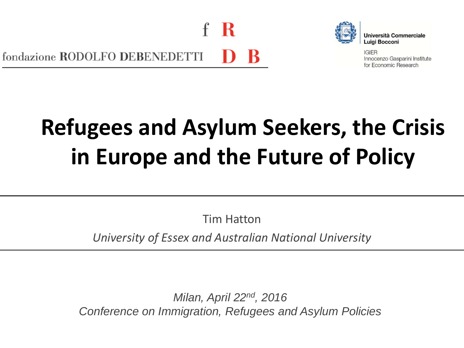-К fondazione RODOLFO DEBENEDETTI



**Università Commerciale** Luigi Bocconi

**IGIER** Innocenzo Gasparini Institute for Economic Research

# **Refugees and Asylum Seekers, the Crisis in Europe and the Future of Policy**

Tim Hatton

*University of Essex and Australian National University*

*Milan, April 22nd, 2016 Conference on Immigration, Refugees and Asylum Policies*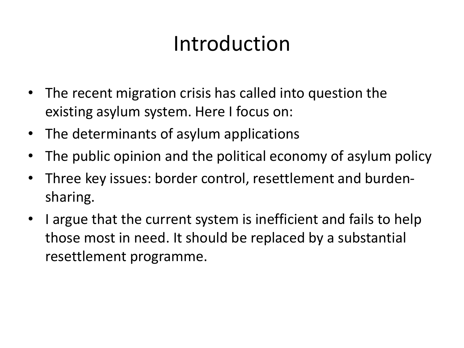### Introduction

- The recent migration crisis has called into question the existing asylum system. Here I focus on:
- The determinants of asylum applications
- The public opinion and the political economy of asylum policy
- Three key issues: border control, resettlement and burdensharing.
- I argue that the current system is inefficient and fails to help those most in need. It should be replaced by a substantial resettlement programme.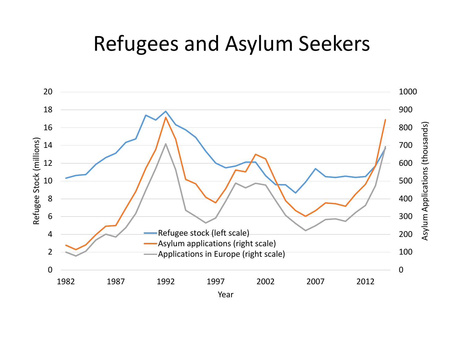#### Refugees and Asylum Seekers

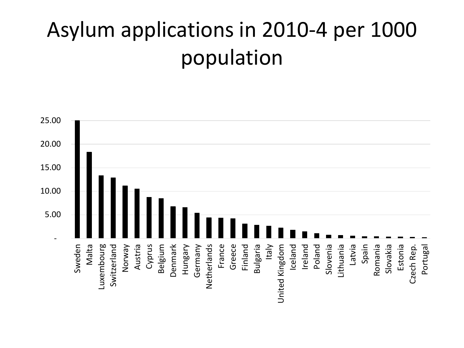## Asylum applications in 2010-4 per 1000 population

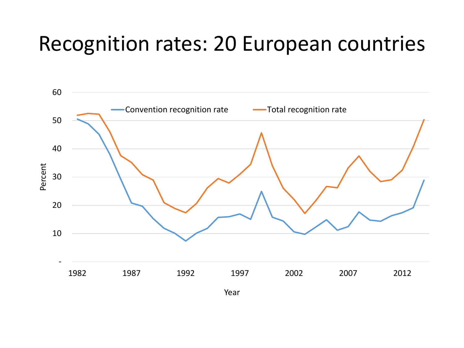#### Recognition rates: 20 European countries

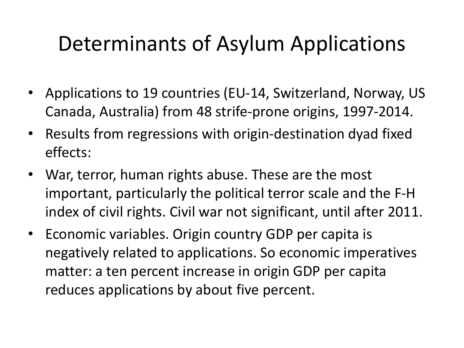### Determinants of Asylum Applications

- Applications to 19 countries (EU-14, Switzerland, Norway, US Canada, Australia) from 48 strife-prone origins, 1997-2014.
- Results from regressions with origin-destination dyad fixed effects:
- War, terror, human rights abuse. These are the most important, particularly the political terror scale and the F-H index of civil rights. Civil war not significant, until after 2011.
- Economic variables. Origin country GDP per capita is negatively related to applications. So economic imperatives matter: a ten percent increase in origin GDP per capita reduces applications by about five percent.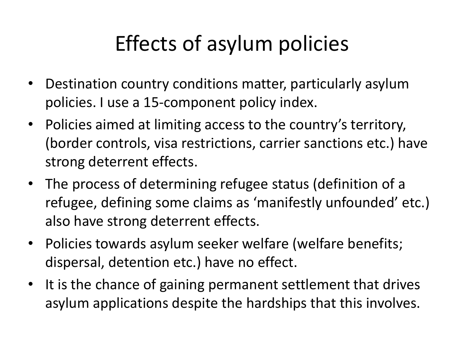### Effects of asylum policies

- Destination country conditions matter, particularly asylum policies. I use a 15-component policy index.
- Policies aimed at limiting access to the country's territory, (border controls, visa restrictions, carrier sanctions etc.) have strong deterrent effects.
- The process of determining refugee status (definition of a refugee, defining some claims as 'manifestly unfounded' etc.) also have strong deterrent effects.
- Policies towards asylum seeker welfare (welfare benefits; dispersal, detention etc.) have no effect.
- It is the chance of gaining permanent settlement that drives asylum applications despite the hardships that this involves.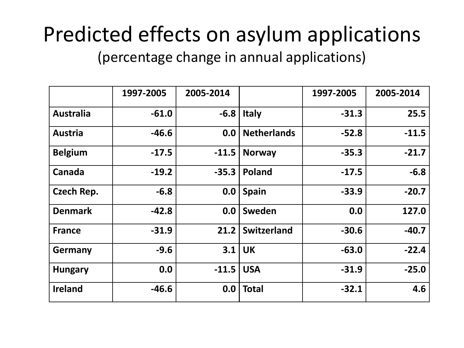#### Predicted effects on asylum applications (percentage change in annual applications)

|                   | 1997-2005 | 2005-2014   |                    | 1997-2005 | 2005-2014 |
|-------------------|-----------|-------------|--------------------|-----------|-----------|
| <b>Australia</b>  | $-61.0$   | $-6.8$      | <b>Italy</b>       | $-31.3$   | 25.5      |
| <b>Austria</b>    | $-46.6$   | 0.0         | <b>Netherlands</b> | $-52.8$   | $-11.5$   |
| <b>Belgium</b>    | $-17.5$   | $-11.5$     | <b>Norway</b>      | $-35.3$   | $-21.7$   |
| Canada            | $-19.2$   | $-35.3$     | Poland             | $-17.5$   | $-6.8$    |
| <b>Czech Rep.</b> | $-6.8$    | 0.0         | <b>Spain</b>       | $-33.9$   | $-20.7$   |
| <b>Denmark</b>    | $-42.8$   | 0.0         | Sweden             | 0.0       | 127.0     |
| <b>France</b>     | $-31.9$   | 21.2        | Switzerland        | $-30.6$   | $-40.7$   |
| <b>Germany</b>    | $-9.6$    | 3.1         | <b>UK</b>          | $-63.0$   | $-22.4$   |
| <b>Hungary</b>    | 0.0       | $-11.5$ USA |                    | $-31.9$   | $-25.0$   |
| <b>Ireland</b>    | $-46.6$   | 0.0         | <b>Total</b>       | $-32.1$   | 4.6       |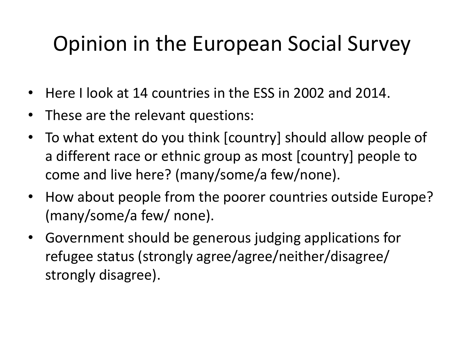### Opinion in the European Social Survey

- Here I look at 14 countries in the ESS in 2002 and 2014.
- These are the relevant questions:
- To what extent do you think [country] should allow people of a different race or ethnic group as most [country] people to come and live here? (many/some/a few/none).
- How about people from the poorer countries outside Europe? (many/some/a few/ none).
- Government should be generous judging applications for refugee status (strongly agree/agree/neither/disagree/ strongly disagree).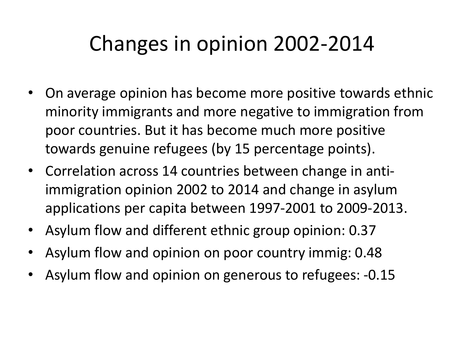### Changes in opinion 2002-2014

- On average opinion has become more positive towards ethnic minority immigrants and more negative to immigration from poor countries. But it has become much more positive towards genuine refugees (by 15 percentage points).
- Correlation across 14 countries between change in antiimmigration opinion 2002 to 2014 and change in asylum applications per capita between 1997-2001 to 2009-2013.
- Asylum flow and different ethnic group opinion: 0.37
- Asylum flow and opinion on poor country immig: 0.48
- Asylum flow and opinion on generous to refugees: -0.15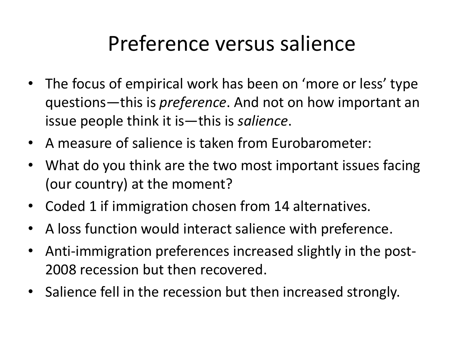#### Preference versus salience

- The focus of empirical work has been on 'more or less' type questions—this is *preference*. And not on how important an issue people think it is—this is *salience*.
- A measure of salience is taken from Eurobarometer:
- What do you think are the two most important issues facing (our country) at the moment?
- Coded 1 if immigration chosen from 14 alternatives.
- A loss function would interact salience with preference.
- Anti-immigration preferences increased slightly in the post-2008 recession but then recovered.
- Salience fell in the recession but then increased strongly.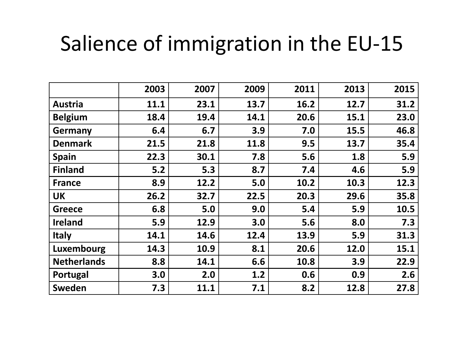### Salience of immigration in the EU-15

|                    | 2003  | 2007 | 2009 | 2011 | 2013 | 2015 |
|--------------------|-------|------|------|------|------|------|
| <b>Austria</b>     | 11.1  | 23.1 | 13.7 | 16.2 | 12.7 | 31.2 |
| <b>Belgium</b>     | 18.4  | 19.4 | 14.1 | 20.6 | 15.1 | 23.0 |
| <b>Germany</b>     | 6.4   | 6.7  | 3.9  | 7.0  | 15.5 | 46.8 |
| <b>Denmark</b>     | 21.5  | 21.8 | 11.8 | 9.5  | 13.7 | 35.4 |
| <b>Spain</b>       | 22.3  | 30.1 | 7.8  | 5.6  | 1.8  | 5.9  |
| <b>Finland</b>     | $5.2$ | 5.3  | 8.7  | 7.4  | 4.6  | 5.9  |
| <b>France</b>      | 8.9   | 12.2 | 5.0  | 10.2 | 10.3 | 12.3 |
| <b>UK</b>          | 26.2  | 32.7 | 22.5 | 20.3 | 29.6 | 35.8 |
| <b>Greece</b>      | 6.8   | 5.0  | 9.0  | 5.4  | 5.9  | 10.5 |
| <b>Ireland</b>     | 5.9   | 12.9 | 3.0  | 5.6  | 8.0  | 7.3  |
| <b>Italy</b>       | 14.1  | 14.6 | 12.4 | 13.9 | 5.9  | 31.3 |
| <b>Luxembourg</b>  | 14.3  | 10.9 | 8.1  | 20.6 | 12.0 | 15.1 |
| <b>Netherlands</b> | 8.8   | 14.1 | 6.6  | 10.8 | 3.9  | 22.9 |
| Portugal           | 3.0   | 2.0  | 1.2  | 0.6  | 0.9  | 2.6  |
| <b>Sweden</b>      | 7.3   | 11.1 | 7.1  | 8.2  | 12.8 | 27.8 |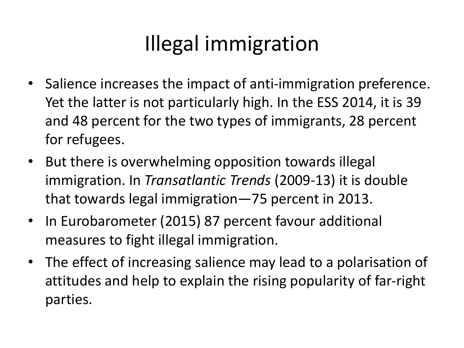## Illegal immigration

- Salience increases the impact of anti-immigration preference. Yet the latter is not particularly high. In the ESS 2014, it is 39 and 48 percent for the two types of immigrants, 28 percent for refugees.
- But there is overwhelming opposition towards illegal immigration. In *Transatlantic Trends* (2009-13) it is double that towards legal immigration—75 percent in 2013.
- In Eurobarometer (2015) 87 percent favour additional measures to fight illegal immigration.
- The effect of increasing salience may lead to a polarisation of attitudes and help to explain the rising popularity of far-right parties.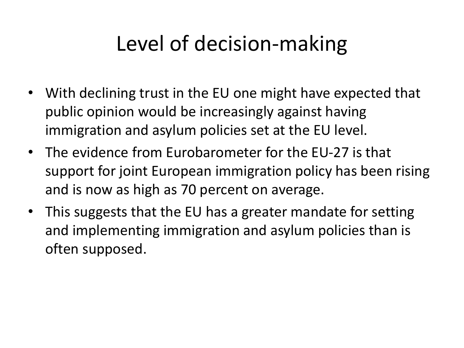### Level of decision-making

- With declining trust in the EU one might have expected that public opinion would be increasingly against having immigration and asylum policies set at the EU level.
- The evidence from Eurobarometer for the EU-27 is that support for joint European immigration policy has been rising and is now as high as 70 percent on average.
- This suggests that the EU has a greater mandate for setting and implementing immigration and asylum policies than is often supposed.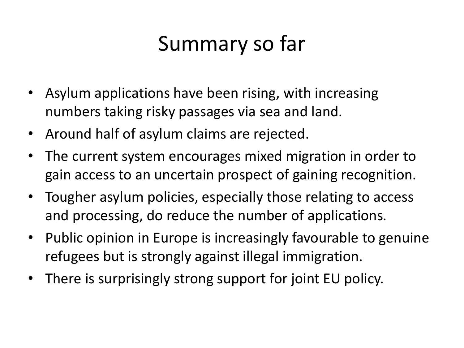### Summary so far

- Asylum applications have been rising, with increasing numbers taking risky passages via sea and land.
- Around half of asylum claims are rejected.
- The current system encourages mixed migration in order to gain access to an uncertain prospect of gaining recognition.
- Tougher asylum policies, especially those relating to access and processing, do reduce the number of applications.
- Public opinion in Europe is increasingly favourable to genuine refugees but is strongly against illegal immigration.
- There is surprisingly strong support for joint EU policy.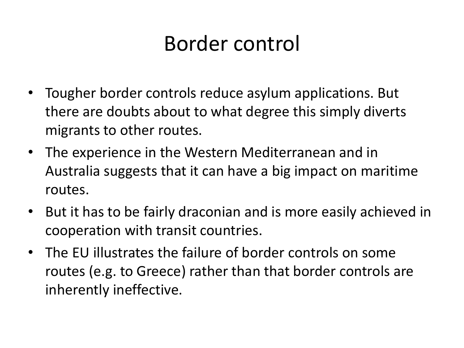### Border control

- Tougher border controls reduce asylum applications. But there are doubts about to what degree this simply diverts migrants to other routes.
- The experience in the Western Mediterranean and in Australia suggests that it can have a big impact on maritime routes.
- But it has to be fairly draconian and is more easily achieved in cooperation with transit countries.
- The EU illustrates the failure of border controls on some routes (e.g. to Greece) rather than that border controls are inherently ineffective.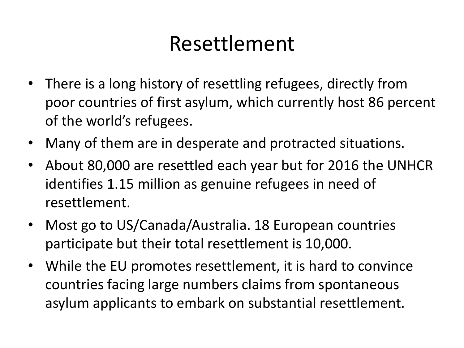#### Resettlement

- There is a long history of resettling refugees, directly from poor countries of first asylum, which currently host 86 percent of the world's refugees.
- Many of them are in desperate and protracted situations.
- About 80,000 are resettled each year but for 2016 the UNHCR identifies 1.15 million as genuine refugees in need of resettlement.
- Most go to US/Canada/Australia. 18 European countries participate but their total resettlement is 10,000.
- While the EU promotes resettlement, it is hard to convince countries facing large numbers claims from spontaneous asylum applicants to embark on substantial resettlement.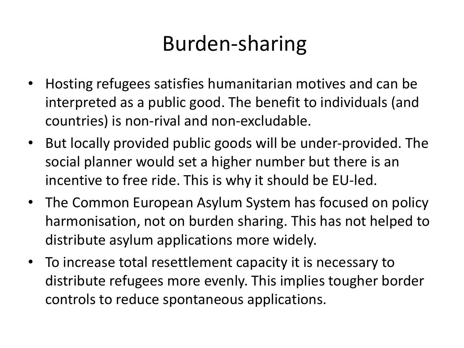### Burden-sharing

- Hosting refugees satisfies humanitarian motives and can be interpreted as a public good. The benefit to individuals (and countries) is non-rival and non-excludable.
- But locally provided public goods will be under-provided. The social planner would set a higher number but there is an incentive to free ride. This is why it should be EU-led.
- The Common European Asylum System has focused on policy harmonisation, not on burden sharing. This has not helped to distribute asylum applications more widely.
- To increase total resettlement capacity it is necessary to distribute refugees more evenly. This implies tougher border controls to reduce spontaneous applications.